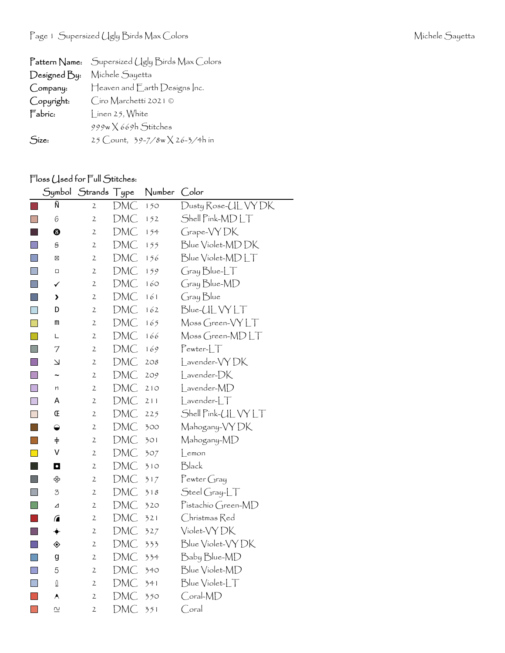| $\Gamma$ attern $\mathsf{Name:}$ | Supersized Ugly Birds Max Colors |
|----------------------------------|----------------------------------|
| Designed By:                     | Michele Sayetta                  |
| Company:                         | Heaven and Earth Designs Inc.    |
| Copyright:                       | Ciro Marchetti 2021 ©            |
| Fabric:                          | I inen 25, White                 |
|                                  | 999w X 669h Stitches             |
| Size:                            | 25 Count, 39-7/8w X 26-3/4h in   |

## Floss Used for Full Stitches:

|                        |                         | Symbol Strands Type |     | Number | Color                                         |
|------------------------|-------------------------|---------------------|-----|--------|-----------------------------------------------|
|                        | Ñ                       | 2                   | DMC | 150    | Dusty Rose-UL VY DK                           |
|                        | 6                       | $\mathbf{2}$        | DMC | 152    | Shell Pink-MD LT                              |
|                        | ❸                       | 2                   | DMC | 154    | Grape-VYDK                                    |
|                        | S                       | 2                   | DMC | 155    | Blue Violet-MD DK                             |
| T                      | ⊠                       | 2                   | DMC | 156    | Blue Violet-MDLT                              |
| $\Box$                 | $\Box$                  | 2                   | DMC | 159    | Gray Blue-LT                                  |
|                        | ✓                       | 2                   | DMC | 160    | Gray Blue-MD                                  |
| line.                  | >                       | 2                   | DMC | 161    | Gray Blue                                     |
|                        | D                       | $\mathfrak{2}$      | DMC | 162    | Blue-ULVYLT                                   |
| H                      | m                       | 2                   | DMC | 165    | Moss Green-VYLT                               |
|                        | L                       | 2                   | DMC | 166    | Moss Green-MDLT                               |
|                        | 7                       | 2                   | DMC | 169    | $Pewter-LT$                                   |
|                        | لا                      | 2                   | DMC | 208    | Lavender-VYDK                                 |
| <b>Ta</b>              | $\tilde{\phantom{a}}$   | 2                   | DMC | 209    | Lavender-DK                                   |
| $\blacksquare$         | n                       | 2                   | DMC | 210    | Lavender-MD                                   |
| $\Box$                 | Α                       | 2                   | DMC | 211    | $L$ avender- $LT$                             |
|                        | Œ                       | $\mathfrak{2}$      | DMC | 225    | Shell Pink-UL VY LT                           |
|                        | ◒                       | $\mathfrak{2}$      | DMC | 300    | Mahogany-VY DK                                |
| <b>Service Service</b> | $\ddagger$              | 2                   | DMC | 301    | Mahogany-MD                                   |
|                        | V                       | $\mathbf{2}$        | DMC | 307    | $L$ emon                                      |
|                        | $\mathbf \Omega$        | 2                   | DMC | 310    | Black                                         |
|                        | ♧                       | 2                   | DMC | 317    | $P$ ewter Gray                                |
|                        | 3                       | 2                   | DMC | 318    | $\mathcal{S}$ teel $\mathcal{G}$ ray-L $\top$ |
| H                      | ⊿                       | 2                   | DMC | 320    | Pistachio Green-MD                            |
|                        | $\sqrt{2}$              | $\overline{c}$      | DMC | 321    | Christmas Red                                 |
| ٠                      | ◆                       | 2                   | DMC | 327    | Violet-VY DK                                  |
|                        | ◈                       | 2                   | DMC | 333    | Blue Violet-VY DK                             |
| $\blacksquare$         | g                       | 2                   | DMC | 334    | Baby Blue-MD                                  |
|                        | 5                       | 2                   | DMC | 340    | Blue Violet-MD                                |
| $\Box$                 | $\mathbb Q$             | $\mathbf{2}$        | DMC | 341    | Blue Violet-LT                                |
|                        | ۸                       | 2                   | DMC | 350    | Coral-MD                                      |
| $\mathbb{R}^n$         | $\overline{\mathsf{c}}$ | $\overline{c}$      | DMC | 351    | $\bigcirc$ oral                               |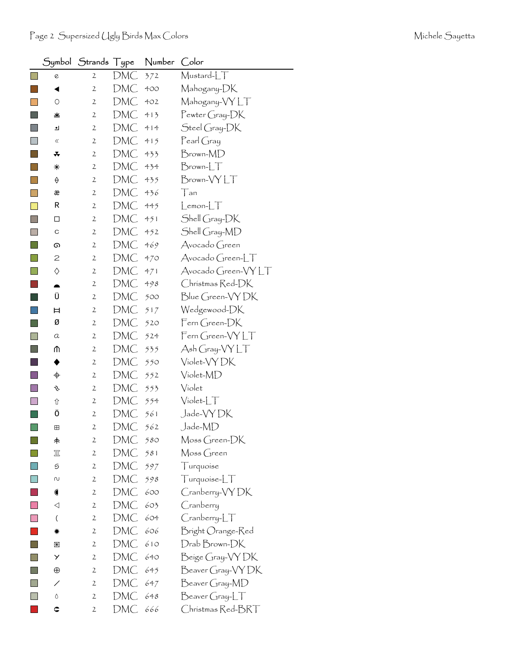$\Box$  $\overline{\phantom{a}}$  $\Box$  $\overline{\phantom{a}}$  $\Box$  $\overline{\phantom{a}}$  $\begin{bmatrix} 1 \\ 2 \end{bmatrix}$  $\overline{\phantom{a}}$  $\overline{\mathbb{R}^2}$  $\overline{\phantom{a}}$  $\Box$  $\Box$  $\overline{\phantom{a}}$  $\begin{bmatrix} 1 \\ 1 \end{bmatrix}$  $\Box$  $\Box$  $\mathbb{R}^3$  $\mathbb{R}^n$  $\begin{array}{|c|} \hline \hline \hline \hline \hline \hline \hline \end{array}$  $\mathbb{R}^n$  $\mathbb{R}^3$  $\Box$ **I**  $\Box$  $\overline{\phantom{a}}$  $\overline{\phantom{a}}$  $\Box$  $\Box$  $\Box$  $\Box$  $\Box$  $\begin{bmatrix} 1 \\ 1 \end{bmatrix}$  $\mathcal{L}_{\mathcal{A}}$  $\overline{\phantom{a}}$  $\overline{\phantom{a}}$  $\mathcal{C}^{\mathcal{A}}$  $\begin{bmatrix} 1 \\ 1 \end{bmatrix}$  $\Box$  $\Box$  $\Box$  $\overline{\mathbb{R}^2}$  $\mathcal{L}_{\mathcal{A}}$ 

|                             | Symbol Strands Type |     | Number Color |                         |
|-----------------------------|---------------------|-----|--------------|-------------------------|
| 0                           | $\mathfrak{2}$      | DMC | 372          | Mustard-LT              |
| ◀                           | 2                   | DMC | 400          | Mahogany-DK             |
| O                           | 2                   | DMC | 402          | Mahogany-VYLT           |
| 坐                           | $\mathbf{2}$        | DMC | 413          | Pewter Gray-DK          |
| ┛                           | $\mathbf{2}$        | DMC | 414          | Steel Gray-DK           |
| $\ll$                       | 2                   | DMC | 415          | $\mathsf{Pearl}$ Gray   |
| ∓                           | $\mathbf{2}$        | DMC | 433          | Brown-MD                |
| ⋇                           | 2                   | DMC | 434          | $Brown$ - $T$           |
| ♦                           | $\mathbf{2}$        | DMC | 435          | Brown-VYLT              |
| æ                           | $\mathbf{2}$        | DMC | 436          | Tan                     |
| R                           | $\mathbf{2}$        | DMC | 445          | $L$ emon- $LT$          |
| □                           | 2                   | DMC | 451          | Shell Gray-DK           |
| С                           | $\mathbf{2}$        | DMC | 452          | Shell Gray-MD           |
| ග                           | $\mathbf{2}$        | DMC | 469          | Avocado Green           |
| 2                           | $\mathbf{2}$        | DMC | 470          | Avocado Green-LT        |
| ♦                           | $\mathbf{2}$        | DMC | 471          | $Avocado (green-VY)$    |
|                             | $\mathbf{2}$        | DMC | 498          | Christmas Red-DK        |
| Ü                           | $\mathbf{2}$        | DMC | 500          | Blue Green-VY DK        |
| Ħ                           | 2                   | DMC | 517          | Wedgewood-DK            |
| Ø                           | 2                   | DMC | 520          | $\mathsf{Fcm}$ Green-DK |
| a                           | $\mathbf{2}$        | DMC | 524          | Fern Green-VYLT         |
| ⋔                           | $\mathbf{2}$        | DMC | 535          | Ash Gray-VYLT           |
| ♦                           | 2                   | DMC | 550          | Violet-VY DK            |
| $\color{red} \blacklozenge$ | $\mathbf{2}$        | DMC | 552          | Violet-MD               |
| v                           | $\mathbf{2}$        | DMC | 553          | Violet                  |
| ⇧                           | $\mathbf{2}$        | DMC | 554          | $Violet-T$              |
| Ö                           | 2                   | DMC | 561          | Jade-VYDK               |
| ⊞                           | $\mathfrak{2}$      | DMC | 562          | Jade-MD                 |
| 未                           | 2                   | DMC | 580          | Moss Green-DK           |
| 皿                           | $\mathbf{2}$        | DMC | 581          | Moss Green              |
| 9                           | $\mathbf{2}$        | DMC | 597          | Turquoise               |
| N                           | 2                   | DMC | 598          | Turquoise-LT            |
| $\bullet$                   | 2                   | DMC | 600          | Cranberry-VY DK         |
| ◁                           | $\mathbf{2}$        | DMC | 603          | Cranberry               |
| $\left($                    | 2                   | DMC | 604          | $C$ ranberry- $LT$      |
| ☀                           | 2                   | DMC | 606          | Bright Orange-Red       |
| 圏                           | $\mathbf{2}$        | DMC | 610          | Drab Brown-DK           |
| У                           | 2                   | DMC | 640          | Beige Gray-VY DK        |
| $\oplus$                    | 2                   | DMC | 645          | Beaver Gray-VY DK       |

/ 2 DMC 647 Beaver Gray-MD Ë 2 DMC 648 Beaver Gray-LT ‰ 2 DMC 666 Christmas Red-BRT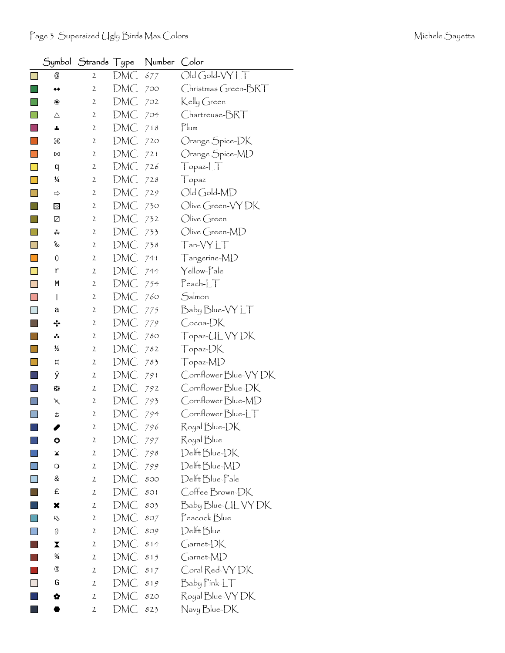|        |               | Symbol $\,$ Strands $\,$ Type |     | Number | Color                       |
|--------|---------------|-------------------------------|-----|--------|-----------------------------|
| $\Box$ | @             | 2                             | DMC | 677    | Old Gold-VYLT               |
|        | ◆◆            | $\mathfrak{2}$                | DMC | 700    | Christmas Green-BRT         |
|        | ❀             | 2                             | DMC | 702    | Kelly Green                 |
|        | Δ             | $\mathbf{2}$                  | DMC | 704    | Chartreuse-BRT              |
|        | A,            | 2                             | DMC | 718    | Plum                        |
|        | ₩             | 2                             | DMC | 720    | Orange Spice-DK             |
|        | ⋈             | $\mathbf{2}$                  | DMC | 721    | Orange Spice-MD             |
|        | q             | 2                             | DMC | 726    | Topaz-LT                    |
|        | ¼             | $\mathbf{2}$                  | DMC | 728    | Topaz                       |
|        | ⇨             | $\mathfrak{2}$                | DMC | 729    | Old Gold-MD                 |
|        | ⊡             | $\mathbf{2}$                  | DMC | 730    | Olive Green-VY DK           |
|        | Z             | 2                             | DMC | 732    | $\bigcirc$ live Green       |
|        | ₩             | $\mathfrak{2}$                | DMC | 733    | Olive Green-MD              |
|        | ‰             | $\mathbf{2}$                  | DMC | 738    | Tan-VYLT                    |
|        | 0             | 2                             | DMC | 741    | Tangerine-MD                |
|        | r             | 2                             | DMC | 744    | Yellow-Pale                 |
| ×      | М             | $\mathbf{2}$                  | DMC | 754    | $\sf {P}$ each- $\sf L\top$ |
|        | I             | 2                             | DMC | 760    | Salmon                      |
|        | а             | 2                             | DMC | 775    | Baby Blue-VY LT             |
|        | ∻             | $\mathbf{2}$                  | DMC | 779    | Cocoa-DK                    |
|        | ∴.            | $\mathfrak{2}$                | DMC | 780    | Topaz-UL VY DK              |
|        | ⅓             | 2                             | DMC | 782    | Topaz-DK                    |
|        | Д             | $\mathbf{2}$                  | DMC | 783    | Topaz-MD                    |
|        | ÿ             | 2                             | DMC | 791    | Cornflower Blue-VY DK       |
|        | 53            | 2                             | DMC | 792    | Cornflower Blue-DK          |
|        | ↖             | $\mathbf{2}$                  | DMC | 793    | Cornflower Blue-MD          |
|        | t             | $\mathbf{2}$                  | DMC | 794    | Cornflower Blue-LT          |
|        | I             | 2                             | DMC | 796    | Royal Blue-DK               |
|        | ٥             | $\mathbf{2}$                  | DMC | 797    | Royal Blue                  |
|        | ¥             | $\mathbf{2}$                  | DMC | 798    | Delft Blue-DK               |
|        | $\circ$       | 2                             | DMC | 799    | Delft Blue-MD               |
| $\Box$ | $\&$          | $\mathbf{2}$                  | DMC | 800    | Delft Blue-Pale             |
|        | £             | $\mathbf{2}$                  | DMC | 801    | Coffee Brown-DK             |
|        | ×             | $\mathbf{2}$                  | DMC | 803    | Baby Blue-CL VY DK          |
|        | ⇖             | $\mathbf{2}$                  | DMC | 807    | Peacock Blue                |
| $\Box$ | 9             | $\mathbf{2}$                  | DMC | 809    | Delft Blue                  |
|        | X             | $\mathfrak{2}$                | DMC | 814    | Garnet-DK                   |
|        | $\frac{3}{4}$ | $\mathbf{2}$                  | DMC | 815    | Garnet-MD                   |
|        | ®             | $\mathbf{2}$                  | DMC | 817    | Coral Red-VY DK             |
|        | G             | $\mathfrak{2}$                | DMC | 819    | Baby Pink-LT                |
|        | Q             | $\mathbf{2}$                  | DMC | 820    | Royal Blue-VY DK            |
|        |               | $\overline{2}$                | DMC | 823    | Navy Blue-DK                |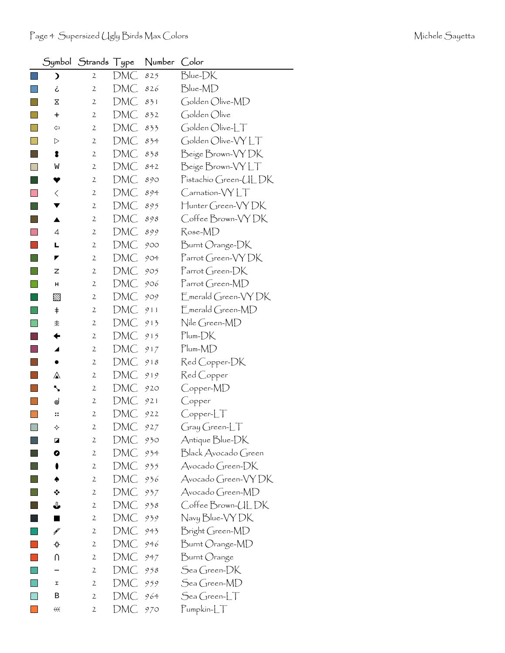|                          |                      | Symbol $\,$ Strands $\top$ ype |            | Number Color |                                  |
|--------------------------|----------------------|--------------------------------|------------|--------------|----------------------------------|
|                          | 冫                    | $\mathbf{2}$                   | DMC        | 825          | Blue-DK                          |
|                          | خ                    | $\mathbf{2}$                   | DMC        | 826          | Blue-MD                          |
|                          | X                    | $\mathbf{2}$                   | DMC        | 831          | Golden Olive-MD                  |
|                          | +                    | $\mathbf{2}$                   | DMC        | 832          | Golden Olive                     |
|                          | ⇦                    | $\mathbf{2}$                   | DMC        | 833          | Golden Olive-LT                  |
|                          | $\triangleright$     | $\mathbf{2}$                   | DMC        | 834          | Golden Olive-VYLT                |
|                          | 8                    | $\mathbf{2}$                   | DMC        | 838          | Beige Brown-VY DK                |
|                          | W                    | $\mathbf{2}$                   | DMC        | 842          | Beige Brown-VYLT                 |
|                          |                      | $\mathbf{2}$                   | DMC        | 890          | Pistachio Green-ULDK             |
|                          | $\langle$            | $\mathbf{2}$                   | DMC        | 894          | $C$ arnation- $\forall Y \bot T$ |
|                          |                      | $\mathbf{2}$                   | DMC        | 895          | Hunter Green-VYDK                |
|                          | ▲                    | $\mathbf{2}$                   | DMC        | 898          | Coffee Brown-VYDK                |
|                          | 4                    | $\mathbf{2}$                   | DMC        | 899          | Rose-MD                          |
|                          | L                    | $\mathbf{2}$                   | DMC        | 900          | Burnt Orange-DK                  |
|                          |                      | $\mathbf{2}$                   | DMC        | 904          | Parrot Green-VYDK                |
|                          | z                    | $\mathbf{2}$                   | DMC        | 905          | Parrot Green-DK                  |
|                          | н                    | $\mathbf{2}$                   | DMC        | 906          | Parrot Green-MD                  |
|                          | $\boxtimes$          | $\mathbf{2}$                   | DMC        | 909          | Emerald Green-VYDK               |
|                          | ŧ                    | $\mathbf{2}$                   | DMC        | 911          | Emerald Green-MD                 |
|                          | 余                    | $\mathbf{2}$                   | DMC        | 913          | Nile Green-MD                    |
|                          |                      | $\mathbf{2}$                   | DMC        | 915          | $Plum-DK$                        |
|                          | ◢                    | $\mathbf{2}$                   | DMC        | 917          | $Plum-MD$                        |
|                          |                      | $\mathbf{2}$                   | DMC        | 918          | Red Copper-DK                    |
|                          | ⚠                    | $\mathbf{2}$                   | DMC        | 919          | Red Copper                       |
|                          | ╲                    | $\mathbf{2}$                   | DMC        | 920          | Copper-MD                        |
|                          | ⊚                    | $\mathbf{2}$                   | DMC        | 921          | Copper                           |
|                          | $\ddot{\phantom{a}}$ | $\mathbf{2}$                   | <b>DMC</b> | 922          | $Copper-LT$                      |
| $\overline{\phantom{a}}$ | ✧                    | $\mathbf{z}$                   | DMC        | 927          | Gray Green-LT                    |
|                          | ◪                    | $\mathbf{2}$                   | DMC        | 930          | Antique Blue-DK                  |
|                          | Ø                    | $\mathbf{2}$                   | DMC        | 934          | Black Avocado Green              |
|                          |                      | $\mathbf{2}$                   | DMC        | 935          | Avocado Green-DK                 |
|                          |                      | $\mathbf{2}$                   | DMC        | 936          | Avocado Green-VY DK              |
|                          | ❖                    | $\mathbf{2}$                   | DMC        | 937          | Avocado Green-MD                 |
|                          | ⇓                    | $\mathbf{2}$                   | DMC        | 938          | Coffee Brown-ULDK                |
|                          | ٠                    | $\mathbf{2}$                   | DMC        | 939          | Navy Blue-VY DK                  |
|                          | ¥                    | $\mathbf{2}$                   | <b>DMC</b> | 943          | Bright Green-MD                  |
|                          |                      | $\mathbf{2}$                   | DMC        | 946          | Burnt Orange-MD                  |
|                          | N                    | $\mathbf{2}$                   | DMC        | 947          | Burnt Orange                     |
|                          |                      | $\mathbf{2}$                   | DMC        | 958          | Sea Green-DK                     |
|                          | I                    | $\mathbf{2}$                   | DMC        | 959          | Sea Green-MD                     |
|                          | В                    | $\mathbf{2}$                   | DMC        | 964          | $\mathcal{S}$ ea Green-L $\top$  |
|                          | $\leftrightarrow$    | $\mathbf{2}$                   | DMC        | 970          | Pumpkin-LT                       |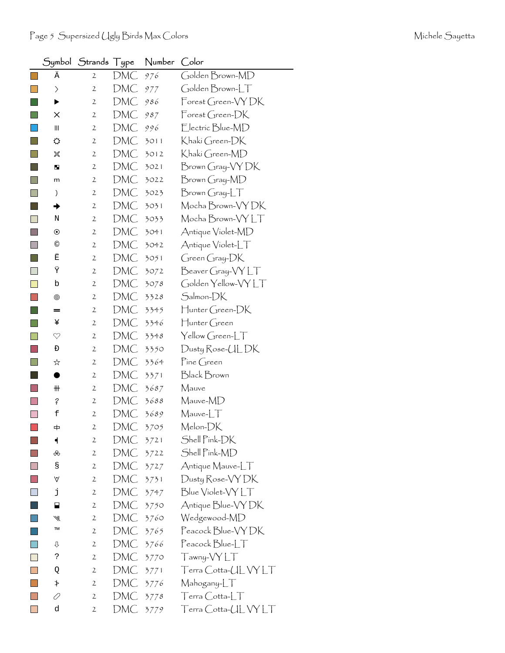|      |                                    | Symbol Strands Type |            | Number | Color                                  |
|------|------------------------------------|---------------------|------------|--------|----------------------------------------|
| l al | Ä                                  | $\mathbf{2}$        | DMC        | 976    | Golden Brown-MD                        |
|      | $\left. \right\rangle$             | $\mathbf{2}$        | DMC        | 977    | Golden Brown-LT                        |
|      | ▶                                  | 2                   | DMC        | 986    | Forest Green-VYDK                      |
|      | ×                                  | $\mathbf{2}$        | DMC        | 987    | $\mathsf{Forest}$ Green- $\mathsf{DK}$ |
|      | $\ensuremath{\mathsf{III}}\xspace$ | 2                   | DMC        | 996    | Electric Blue-MD                       |
|      | ⇔                                  | $\mathbf{2}$        | DMC        | 3011   | Khakí Green-DK                         |
|      | 饕                                  | $\mathbf{2}$        | DMC        | 3012   | Khakí Green-MD                         |
|      | ш                                  | 2                   | DMC        | 3021   | Brown Gray-VY DK                       |
| n    | m                                  | 2                   | DMC        | 3022   | Brown Gray-MD                          |
|      | )                                  | 2                   | DMC        | 3023   | $Brown Gray-LT$                        |
|      | →                                  | $\mathbf{2}$        | DMC        | 3031   | Mocha Brown-VY DK                      |
|      | Ν                                  | 2                   | DMC        | 3033   | Mocha Brown-VY LT                      |
|      | $\odot$                            | $\mathbf{2}$        | DMC        | 3041   | Antique Violet-MD                      |
|      | $^{\circ}$                         | $\mathbf{2}$        | DMC        | 3042   | Antique Violet-LT                      |
|      | Ë                                  | $\mathbf{2}$        | DMC        | 3051   | $G$ reen $G$ ray- $DK$                 |
|      | Ϋ                                  | 2                   | DMC        | 3072   | Beaver Gray-VYLT                       |
| ×.   | b                                  | $\mathbf{2}$        | DMC        | 3078   | Golden Yellow-VYLT                     |
|      | ⊚                                  | 2                   | DMC        | 3328   | Salmon-DK                              |
|      | =                                  | 2                   | DMC        | 3345   | Hunter Green-DK                        |
|      | ¥                                  | $\mathbf{2}$        | DMC        | 3346   | $\biguplus$ unter Green                |
|      | $\heartsuit$                       | $\mathbf{2}$        | DMC        | 3348   | Yellow Green-LT                        |
|      | Đ                                  | 2                   | DMC        | 3350   | Dusty Rose-UL DK                       |
|      | ☆                                  | $\mathbf{2}$        | DMC        | 3364   | $\mathsf{P}$ ine Green                 |
|      |                                    | 2                   | DMC        | 3371   | Black Brown                            |
|      | ₩                                  | 2                   | DMC        | 3687   | Mauve                                  |
|      | ?                                  | $\mathbf{2}$        | DMC        | 3688   | Mauve-MD                               |
|      | f                                  | $\mathbf{2}$        | DMC        | 3689   | $M$ auve- $LT$                         |
|      |                                    | $\mathfrak{2}$      | DMC        | 3705   | Melon-DK                               |
|      | ┥                                  | $\mathbf{2}$        | DMC        | 3721   | Shell Pink-DK                          |
|      | ൿ                                  | $\overline{2}$      | DMC        | 3722   | Shell Pink-MD                          |
|      | S                                  | $\mathbf{2}$        | <b>DMC</b> | 3727   | Antique Mauve-LT                       |
|      | ٧                                  | $\mathbf{2}$        | DMC        | 3731   | Dusty Rose-VY DK                       |
|      | j                                  | $\mathbf{2}$        | DMC        | 3747   | Blue Violet-VY LT                      |
|      | н                                  | $\mathbf{2}$        | DMC        | 3750   | Antique Blue-VY DK                     |
|      | ₩                                  | 2                   | DMC        | 3760   | Wedgewood-MD                           |
|      | TM                                 | $\mathbf{2}$        | DMC        | 3765   | Peacock Blue-VY DK                     |
|      | ⇩                                  | $\mathbf{2}$        | DMC        | 3766   | Peacock Blue-LT                        |
|      | ?                                  | $\mathbf{2}$        | DMC        | 3770   | Tawny-VYLT                             |
|      | Q                                  | $\mathbf{2}$        | DMC        | 3771   | Terra Cotta-ULVYLT                     |
|      | ≯                                  | $\mathbf{2}$        | DMC        | 3776   | Mahogany-LT                            |
|      | 0                                  | $\mathbf{2}$        | DMC        | 3778   | $T$ erra $C$ otta- $LT$                |
|      | d                                  | 2                   | DMC        | 3779   | Terra Cotta-UL VY LT                   |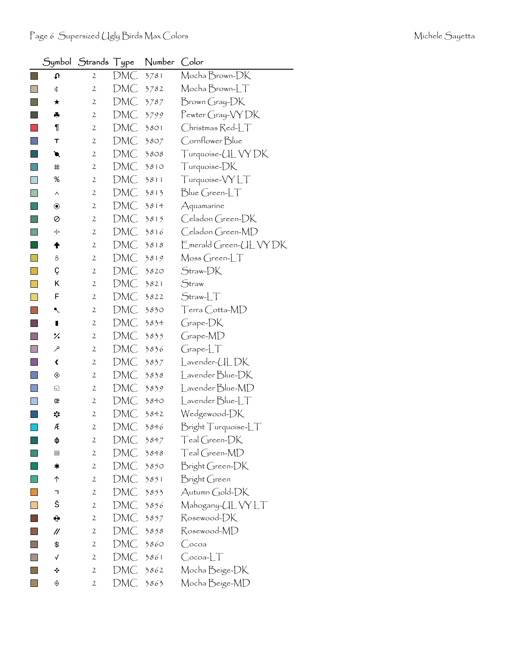|                                                                                                                       |                   | Symbol Strands Type |     | Number | Color                  |
|-----------------------------------------------------------------------------------------------------------------------|-------------------|---------------------|-----|--------|------------------------|
| $\sim$                                                                                                                | t                 | 2                   | DMC | 3781   | Mocha Brown-DK         |
|                                                                                                                       | ¢                 | $\mathbf{2}$        | DMC | 3782   | Mocha Brown-LT         |
|                                                                                                                       | ★                 | 2                   | DMC | 3787   | Brown Gray-DK          |
|                                                                                                                       | ♣                 | 2                   | DMC | 3799   | Pewter Gray-VY DK      |
|                                                                                                                       | ¶                 | 2                   | DMC | 3801   | Christmas Red-LT       |
|                                                                                                                       | т                 | 2                   | DMC | 3807   | Cornflower Blue        |
|                                                                                                                       | €                 | 2                   | DMC | 3808   | Turquoise-UL VY DK     |
|                                                                                                                       | #                 | 2                   | DMC | 3810   | Turquoise-DK           |
| <b>Contract Contract Contract Contract Contract Contract Contract Contract Contract Contract Contract Contract Co</b> | ిం                | 2                   | DMC | 3811   | Turquoise-VYLT         |
|                                                                                                                       | Λ                 | 2                   | DMC | 3813   | $Blue Green-LT$        |
|                                                                                                                       | $\circledbullet$  | 2                   | DMC | 3814   | Aquamarine             |
|                                                                                                                       | Ø                 | 2                   | DMC | 3815   | Celadon Green-DK       |
|                                                                                                                       | ٠ŀ                | 2                   | DMC | 3816   | Celadon Green-MD       |
|                                                                                                                       | ♠                 | $\mathbf{2}$        | DMC | 3818   | Emerald Green-UL VY DK |
|                                                                                                                       | 8                 | 2                   | DMC | 3819   | Moss Green-LT          |
|                                                                                                                       | Ç                 | 2                   | DMC | 3820   | Straw-DK               |
|                                                                                                                       | Κ                 | $\mathbf{2}$        | DMC | 3821   | Straw                  |
|                                                                                                                       | F                 | 2                   | DMC | 3822   | $Straw-LT$             |
|                                                                                                                       | ↖                 | 2                   | DMC | 3830   | Terra Cotta-MD         |
|                                                                                                                       | п                 | $\mathbf{2}$        | DMC | 3834   | Grape-DK               |
|                                                                                                                       | ×.                | 2                   | DMC | 3835   | Grape-MD               |
|                                                                                                                       | مر                | 2                   | DMC | 3836   | GrapherLT              |
|                                                                                                                       | ∢                 | $\mathbf{2}$        | DMC | 3837   | Lavender-ULDK          |
|                                                                                                                       | ◈                 | 2                   | DMC | 3838   | Lavender Blue-DK       |
|                                                                                                                       | ⊡                 | 2                   | DMC | 3839   | Lavender Blue-MD       |
|                                                                                                                       | œ                 | 2                   | DMC | 3840   | $L$ avender $Blue-LT$  |
|                                                                                                                       | ∗,                | $\mathbf{2}$        | DMC | 3842   | Wedgewood-DK           |
|                                                                                                                       | Æ                 | 2                   | DMC | 3846   | Bright Turquoise-LT    |
|                                                                                                                       | ф                 | $\mathbf{2}$        | DMC | 3847   | Teal Green-DK          |
|                                                                                                                       | ▣                 | $\mathbf{2}$        | DMC | 3848   | Teal Green-MD          |
|                                                                                                                       | ∗                 | $\mathbf{2}$        | DMC | 3850   | Bright Green-DK        |
|                                                                                                                       | ↑                 | $\mathbf{2}$        | DMC | 3851   | Bright Green           |
|                                                                                                                       | ٦                 | $\mathbf{2}$        | DMC | 3853   | Autumn Gold-DK         |
|                                                                                                                       | š                 | $\mathbf{2}$        | DMC | 3856   | Mahogany-UL VY LT      |
|                                                                                                                       | ⊕                 | $\mathbf{2}$        | DMC | 3857   | Rosewood-DK            |
|                                                                                                                       | $^{\prime\prime}$ | $\mathbf{2}$        | DMC | 3858   | Rosewood-MD            |
|                                                                                                                       | \$                | $\mathbf{2}$        | DMC | 3860   | Cocoa                  |
|                                                                                                                       | √                 | $\mathbf{2}$        | DMC | 3861   | $C$ ocoa- $LT$         |
|                                                                                                                       | ÷                 | $\mathbf{2}$        | DMC | 3862   | Mocha Beige-DK         |
|                                                                                                                       | ◈                 | $\mathbf{2}$        | DMC | 3863   | Mocha Beige-MD         |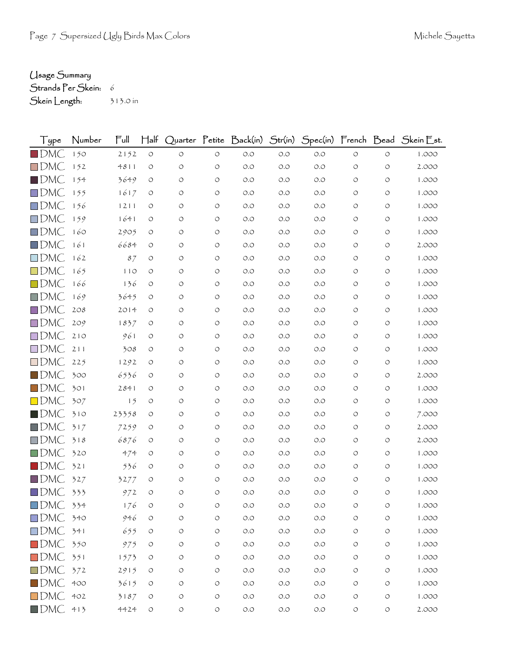## Usage Summary

Strands Per Skein: 6

Skein Length: 313.0 in

| Type               | Number | Full  | $H$ alf            |            |            |       |       |       |         |                    | Quarter Petite Back(in) Str(in) Spec(in) French Bead Skein Est. |
|--------------------|--------|-------|--------------------|------------|------------|-------|-------|-------|---------|--------------------|-----------------------------------------------------------------|
| $\blacksquare$ DMC | 150    | 2152  | $\circ$            | $\circ$    | $\circ$    | $O.O$ | $O.O$ | O.O   | $\circ$ | $\circ$            | 1.000                                                           |
| $\square$ DMC      | 152    | 4811  | $\circ$            | O          | O          | $O.O$ | O.O   | O.O   | O       | $\circ$            | 2.000                                                           |
| $\blacksquare$ DMC | 154    | 3649  | O                  | O          | O          | O.O   | O.O   | O.O   | O       | $\circ$            | 1.000                                                           |
| $\square$ DMC      | 155    | 1617  | $\circ$            | O          | O          | O.O   | O.O   | O.O   | O       | O                  | 1.000                                                           |
| $\square$ DMC      | 156    | 1211  | O                  | O          | O          | O.O   | O.O   | O.O   | O       | $\circ$            | 1.000                                                           |
| $\square$ DMC      | 159    | 1641  | O                  | O          | O          | O.O   | O.O   | O.O   | O       | O                  | 1.000                                                           |
| $\square$ DMC      | 160    | 2905  | $\circ$            | O          | O          | O.O   | O.O   | O.O   | O       | O                  | 1.000                                                           |
| $\square$ DMC      | 161    | 6684  | $\circ$            | O          | $\circ$    | $O.O$ | O.O   | O.O   | O       | $\circ$            | 2.000                                                           |
| $\square$ DMC      | 162    | 87    | O                  | O          | O          | O.O   | O.O   | O.O   | O       | $\circ$            | 1.000                                                           |
| $\square$ DMC      | 165    | 110   | $\circ$            | O          | $\circ$    | $O.O$ | O.O   | O.O   | O       | O                  | 1.000                                                           |
| $\square$ DMC      | 166    | 136   | O                  | O          | O          | O.O   | O.O   | O.O   | O       | $\circ$            | 1.000                                                           |
| $\square$ DMC      | 169    | 3645  | O                  | O          | $\circ$    | O.O   | O.O   | O.O   | O       | $\circ$            | 1.000                                                           |
| $\square$ DMC      | 208    | 2014  | $\circ$            | O          | $\circ$    | O.O   | O.O   | O.O   | O       | O                  | 1.000                                                           |
| $\square$ DMC      | 209    | 1837  | $\circ$            | O          | O          | $O.O$ | O.O   | O.O   | O       | $\circ$            | 1.000                                                           |
| $\square$ DMC      | 210    | 961   | O                  | O          | $\circ$    | O.O   | O.O   | O.O   | O       | O                  | 1.000                                                           |
| $\square$ DMC      | 211    | 308   | O                  | O          | O          | O.O   | O.O   | O.O   | O       | $\circ$            | 1.000                                                           |
| $\square$ DMC      | 225    | 1292  | O                  | $\circ$    | O          | O.O   | O.O   | O.O   | O       | $\circ$            | 1.000                                                           |
| $\blacksquare$ DMC | 300    | 6536  | $\circ$            | O          | O          | O.O   | O.O   | O.O   | O       | $\circ$            | 2.000                                                           |
| $\Box$ DMC         | 301    | 2841  | O                  | O          | O          | O.O   | O.O   | O.O   | O       | $\circ$            | 1.000                                                           |
| $\square$ DMC      | 307    | 15    | $\circ$            | $\circ$    | O          | O.O   | O.O   | O.O   | O       | $\circ$            | 1.000                                                           |
| $\blacksquare$ DMC | 310    | 23358 | O                  | O          | $\circ$    | O.O   | O.O   | O.O   | O       | $\circ$            | 7.000                                                           |
| $\blacksquare$ DMC | 317    | 7259  | O                  | O          | O          | O.O   | O.O   | O.O   | O       | $\circ$            | 2.000                                                           |
| $\square$ DMC      | 318    | 6876  | $\circ$            | O          | O          | O.O   | O.O   | O.O   | O       | $\circ$            | 2.000                                                           |
| $\square$ DMC      | 320    | 474   | O                  | O          | $\circ$    | O.O   | O.O   | O.O   | O       | $\circ$            | 1.000                                                           |
| $\blacksquare$ DMC | 321    | 536   | $\circ$            | O          | O          | O.O   | O.O   | O.O   | O       | O                  | 1.000                                                           |
| $\blacksquare$ DMC | 327    | 3277  | O                  | O          | $\circ$    | O.O   | O.O   | O.O   | O       | O                  | 1.000                                                           |
| $\square$ DMC      | 333    | 972   | $\circlearrowleft$ | $\bigcirc$ | O          | $O.O$ | O.O   | O.O   | O       | $\circ$            | 1.000                                                           |
| $\square$ DMC      | 334    | 176   | О                  |            | O          | O.O   | O.O   | O.O   |         | O                  | 1.000                                                           |
| $\square$ DMC      | 340    | 946   | $\circlearrowleft$ | O          | $\bigcirc$ | $O.O$ | O.O   | O.O   | $\circ$ | $\circlearrowleft$ | 1.000                                                           |
| $\square$ DMC      | 341    | 655   | $\circ$            | $\bigcirc$ | $\bigcirc$ | $O.O$ | O.O   | $O.O$ | O       | $\circ$            | 1.000                                                           |
| $\square$ DMC      | 350    | 975   | $\circ$            | O          | O          | $O.O$ | O.O   | O.O   | $\circ$ | $\circ$            | 1.000                                                           |
| $\square$ DMC      | 351    | 1573  | $\circ$            | O          | O          | $O.O$ | O.O   | $O.O$ | O       | $\circ$            | 1.000                                                           |
| $\square$ DMC      | 372    | 2915  | $\circ$            | O          | O          | $O.O$ | $O.O$ | $O.O$ | $\circ$ | $\circ$            | 1.000                                                           |
| $\square$ DMC      | 400    | 3615  | $\circ$            | O          | O          | $O.O$ | O.O   | $O.O$ | O       | $\circ$            | 1.000                                                           |
| $\square$ DMC      | 402    | 3187  | $\circlearrowleft$ | O          | $\bigcirc$ | $O.O$ | O.O   | O.O   | $\circ$ | $\circ$            | 1.000                                                           |
| $\blacksquare$ DMC | 413    | 4424  | $\circlearrowleft$ | $\bigcirc$ | $\circ$    | $O.O$ | $O.O$ | $O.O$ | $\circ$ | $\circ$            | 2.000                                                           |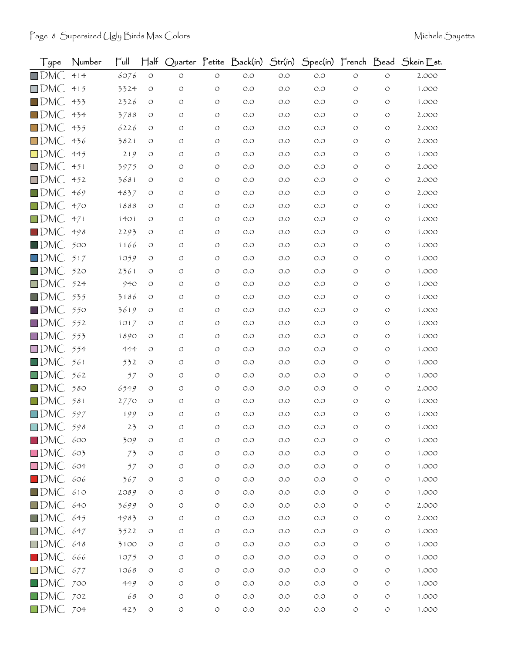| Type               | Number | Ful  | $\mathsf{H\mathsf{a}\mathsf{lf}}$ |            |                    | Quarter Petite Back(in) | Str(in) |       |                    |            | Spec(in) French Bead Skein Est. |
|--------------------|--------|------|-----------------------------------|------------|--------------------|-------------------------|---------|-------|--------------------|------------|---------------------------------|
| $\square$ DMC      | 414    | 6076 | $\circlearrowleft$                | $\circ$    | $\bigcirc$         | $O.O$                   | O.O     | $O.O$ | $\circlearrowleft$ | $\circ$    | 2.000                           |
| $\square$ DMC      | 415    | 3324 | $\circ$                           | O          | $\circ$            | O.O                     | O.O     | $O.O$ | O                  | O          | 1.000                           |
| $\blacksquare$ DMC | 433    | 2326 | O                                 | O          | $\circ$            | O.O                     | O.O     | O.O   | $\circ$            | O          | 1.000                           |
| $\square$ DMC      | 434    | 3788 | O                                 | O          | $\circ$            | $O.O$                   | O.O     | O.O   | O                  | O          | 2.000                           |
| $\square$ DMC      | 435    | 6226 | O                                 | O          | $\circ$            | O.O                     | O.O     | O.O   | O                  | O          | 2.000                           |
| $\square$ DMC      | 436    | 3821 | O                                 | O          | $\circ$            | O.O                     | O.O     | O.O   | $\circ$            | O          | 2.000                           |
| $\square$ DMC      | 445    | 219  | $\circ$                           | O          | $\circ$            | O.O                     | O.O     | O.O   | O                  | O          | 1.000                           |
| $\square$ DMC      | 451    | 3975 | O                                 | O          | $\circ$            | O.O                     | O.O     | O.O   | O                  | O          | 2.000                           |
| $\square$ DMC      | 452    | 3681 | O                                 | O          | $\circ$            | O.O                     | O.O     | O.O   | O                  | O          | 2.000                           |
| $\blacksquare$ DMC | 469    | 4837 | O                                 | O          | $\circ$            | O.O                     | O.O     | O.O   | O                  | O          | 2.000                           |
| $\square$ DMC      | 470    | 1888 | O                                 | O          | $\circ$            | O.O                     | O.O     | O.O   | O                  | O          | 1.000                           |
| $\Box$ DMC         | 471    | 1401 | O                                 | O          | $\circ$            | O.O                     | O.O     | O.O   | $\circ$            | $\circ$    | 1.000                           |
| $\blacksquare$ DMC | 498    | 2293 | O                                 | O          | O                  | O.O                     | O.O     | O.O   | O                  | O          | 1.000                           |
| $\blacksquare$ DMC | 500    | 1166 | O                                 | O          | $\circ$            | O.O                     | O.O     | O.O   | O                  | O          | 1.000                           |
| $\square$ DMC      | 517    | 1059 | O                                 | O          | $\circ$            | O.O                     | O.O     | O.O   | $\circ$            | O          | 1.000                           |
| $\blacksquare$ DMC | 520    | 2361 | O                                 | O          | $\circ$            | O.O                     | O.O     | O.O   | O                  | O          | 1.000                           |
| $\Box$ DMC         | 524    | 940  | O                                 | O          | $\circ$            | O.O                     | O.O     | O.O   | O                  | O          | 1.000                           |
| $\blacksquare$ DMC | 535    | 3186 | O                                 | O          | $\circ$            | O.O                     | O.O     | O.O   | O                  | $\circ$    | 1.000                           |
| $\square$ DMC      | 550    | 3619 | O                                 | O          | $\circ$            | O.O                     | O.O     | O.O   | O                  | O          | 1.000                           |
| $\Box$ DMC         | 552    | 1017 | O                                 | O          | $\circ$            | $O.O$                   | O.O     | O.O   | $\circ$            | O          | 1.000                           |
| $\square$ DMC      | 553    | 1890 | $\circ$                           | O          | $\circ$            | O.O                     | O.O     | O.O   | O                  | O          | 1.000                           |
| $\square$ DMC      | 554    | 444  | O                                 | O          | $\circ$            | O.O                     | O.O     | O.O   | O                  | O          | 1.000                           |
| $\square$ DMC      | 561    | 532  | $\circ$                           | O          | $\circ$            | $O.O$                   | O.O     | O.O   | $\circ$            | O          | 1.000                           |
| $\square$ DMC      | 562    | 57   | O                                 | O          | $\circ$            | $O.O$                   | O.O     | O.O   | O                  | O          | 1.000                           |
| $\blacksquare$ DMC | 580    | 6549 | O                                 | O          | O                  | O.O                     | O.O     | O.O   | O                  | O          | 2.000                           |
| $\Box$ DMC         | 581    | 2770 | O                                 | O          | $\circ$            | $O.O$                   | O.O     | O.O   | O                  | O          | 1.000                           |
| $\square$ DMC      | 597    | 199  | $\circ$                           | O          | $\circ$            | $O.O$                   | O.O     | O.O   | $\circ$            | O          | 1.000                           |
| $\square$ DMC      | 598    | 23   |                                   | O          | O                  | $O.O$                   | $O.O$   | O.O   | O                  | O          | 1.000                           |
| $\blacksquare$ DMC | 600    | 309  | $\circlearrowleft$                | O          | $\circ$            | $O.O$                   | $O.O$   | $O.O$ | $\circ$            | O          | 1.000                           |
| $\square$ DMC      | 603    | 73   | O                                 | $\bigcirc$ | $\circ$            | $O.O$                   | $O.O$   | $O.O$ | O                  | $\circ$    | 1.000                           |
| $\square$ DMC      | 604    | 57   | O                                 | O          | O                  | $O.O$                   | O.O     | $O.O$ | $\circ$            | $\circ$    | 1.000                           |
| $\blacksquare$ DMC | 606    | 367  | $\circ$                           | O          | $\circ$            | $O.O$                   | O.O     | $O.O$ | $\circ$            | $\circ$    | 1.000                           |
| $\blacksquare$ DMC | 610    | 2089 | O                                 | O          | $\circ$            | $O.O$                   | $O.O$   | O.O   | $\circ$            | $\circ$    | 1.000                           |
| $\square$ DMC      | 640    | 3699 | O                                 | O          | $\circ$            | $O.O$                   | $O.O$   | O.O   | $\circ$            | $\circ$    | 2.000                           |
| $\blacksquare$ DMC | 645    | 4983 | O                                 | O          | $\circ$            | $O.O$                   | $O.O$   | $O.O$ | O                  | O          | 2.000                           |
| $\square$ DMC      | 647    | 3522 | O                                 | O          | $\circlearrowleft$ | $O.O$                   | O.O     | O.O   | $\circ$            | O          | 1.000                           |
| $\square$ DMC      | 648    | 3100 | O                                 | O          | $\circ$            | $O.O$                   | O.O     | $O.O$ | O                  | O          | 1.000                           |
| $\blacksquare$ DMC | 666    | 1075 | $\circ$                           | O          | O                  | $O.O$                   | O.O     | $O.O$ | $\circ$            | $\circ$    | 1.000                           |
| $\Box$ DMC         | 677    | 1068 | O                                 | O          | $\circ$            | $O.O$                   | $O.O$   | $O.O$ | $\circ$            | $\circ$    | 1.000                           |
| $\blacksquare$ DMC | 700    | 449  | O                                 | O          | $\circ$            | $O.O$                   | $O.O$   | $O.O$ | O                  | $\circ$    | 1.000                           |
| $\square$ DMC      | 702    | 68   | O                                 | O          | O                  | $O.O$                   | $O.O$   | $O.O$ | O                  | $\bigcirc$ | 1.000                           |
| DMC 704            |        | 423  | $\bigcirc$                        | O          | $\circlearrowleft$ | $O.O$                   | $O.O$   | $O.O$ | $\circlearrowleft$ | $\bigcirc$ | 1.000                           |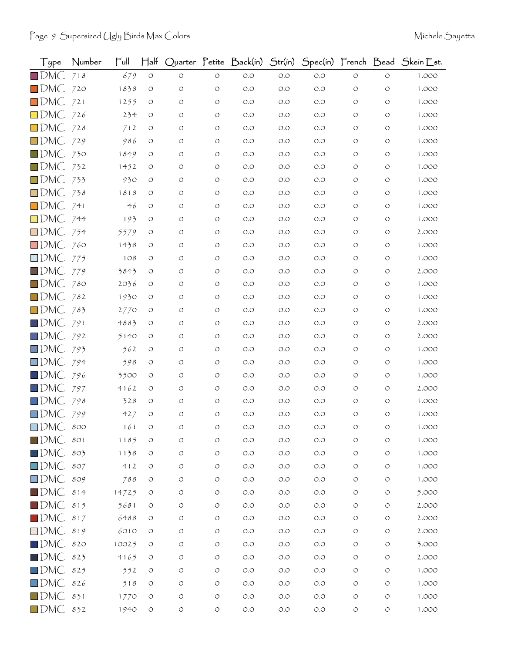| Type               | Number | Full  | $\mathsf{H\mathsf{a}\mathsf{lf}}$ |            |                    | Quarter Petite Back(in) | Str(in) |       |                    |                    | Spec(in) French Bead Skein Est. |
|--------------------|--------|-------|-----------------------------------|------------|--------------------|-------------------------|---------|-------|--------------------|--------------------|---------------------------------|
| $\blacksquare$ DMC | 718    | 679   | $\circ$                           | $\circ$    | $\circ$            | $O.O$                   | O.O     | $O.O$ | $\circ$            | $\circ$            | 1.000                           |
| $\blacksquare$ DMC | 720    | 1838  | $\circ$                           | O          | O                  | O.O                     | O.O     | $O.O$ | O                  | O                  | 1.000                           |
| $\square$ DMC      | 721    | 1255  | O                                 | O          | O                  | O.O                     | O.O     | O.O   | O                  | O                  | 1.000                           |
| $\square$ DMC      | 726    | 234   | O                                 | O          | $\circ$            | $O.O$                   | O.O     | O.O   | O                  | O                  | 1.000                           |
| $\square$ DMC      | 728    | 712   | O                                 | O          | O                  | O.O                     | O.O     | O.O   | O                  | O                  | 1.000                           |
| $\square$ DMC      | 729    | 986   | O                                 | O          | $\circ$            | O.O                     | O.O     | O.O   | O                  | O                  | 1.000                           |
| $\blacksquare$ DMC | 730    | 1849  | O                                 | O          | $\circ$            | O.O                     | O.O     | O.O   | O                  | O                  | 1.000                           |
| $\square$ DMC      | 732    | 1452  | O                                 | O          | $\circ$            | O.O                     | O.O     | O.O   | O                  | O                  | 1.000                           |
| $\square$ DMC      | 733    | 930   | O                                 | O          | $\circ$            | O.O                     | O.O     | O.O   | O                  | O                  | 1.000                           |
| $\square$ DMC      | 738    | 1818  | O                                 | O          | $\circ$            | O.O                     | O.O     | O.O   | O                  | O                  | 1.000                           |
| $\square$ DMC      | 741    | 46    | O                                 | O          | $\circ$            | O.O                     | O.O     | O.O   | O                  | O                  | 1.000                           |
| $\square$ DMC      | 744    | 193   | O                                 | O          | $\circ$            | O.O                     | O.O     | O.O   | O                  | O                  | 1.000                           |
| $\square$ DMC      | 754    | 5579  | O                                 | O          | O                  | O.O                     | O.O     | O.O   | O                  | O                  | 2.000                           |
| $\square$ DMC      | 760    | 1438  | O                                 | O          | O                  | O.O                     | O.O     | O.O   | O                  | O                  | 1.000                           |
| $\square$ DMC      | 775    | 108   | O                                 | O          | $\circ$            | O.O                     | O.O     | O.O   | O                  | O                  | 1.000                           |
| $\blacksquare$ DMC | 779    | 3843  | O                                 | O          | $\circ$            | O.O                     | O.O     | O.O   | O                  | O                  | 2.000                           |
| $\blacksquare$ DMC | 780    | 2036  | O                                 | O          | $\circ$            | O.O                     | O.O     | O.O   | O                  | O                  | 1.000                           |
| $\square$ DMC      | 782    | 1930  | O                                 | O          | $\circ$            | O.O                     | O.O     | O.O   | O                  | $\circ$            | 1.000                           |
| $\square$ DMC      | 783    | 2770  | O                                 | O          | $\circ$            | O.O                     | O.O     | O.O   | O                  | O                  | 1.000                           |
| $\square$ DMC      | 791    | 4883  | O                                 | O          | $\circ$            | $O.O$                   | O.O     | O.O   | O                  | O                  | 2.000                           |
| $\square$ DMC      | 792    | 5140  | $\circ$                           | O          | O                  | O.O                     | O.O     | O.O   | O                  | O                  | 2.000                           |
| $\square$ DMC      | 793    | 562   | O                                 | O          | O                  | O.O                     | O.O     | O.O   | O                  | O                  | 1.000                           |
| $\square$ DMC      | 794    | 598   | $\circ$                           | O          | $\circ$            | O.O                     | O.O     | O.O   | O                  | O                  | 1.000                           |
| $\square$ DMC      | 796    | 3500  | O                                 | O          | O                  | O.O                     | O.O     | O.O   | O                  | O                  | 1.000                           |
| $\square$ DMC      | 797    | 4162  | O                                 | O          | O                  | O.O                     | O.O     | O.O   | O                  | O                  | 2.000                           |
| $\square$ DMC      | 798    | 328   | O                                 | O          | $\circ$            | $O.O$                   | O.O     | O.O   | O                  | O                  | 1.000                           |
| $\square$ DMC      | 799    | 427   | $\circ$                           | O          | $\circ$            | $O.O$                   | O.O     | O.O   | $\circ$            | O                  | 1.000                           |
| $\square$ DMC      | 800    | 161   |                                   | O          | O                  | $O.O$                   | $O.O$   | O.O   | O                  | O                  | 1.000                           |
| $\blacksquare$ DMC | 801    | 1185  | $\circlearrowleft$                | O          | $\circ$            | $O.O$                   | $O.O$   | $O.O$ | $\circlearrowleft$ | $\circlearrowleft$ | 1.000                           |
| $\blacksquare$ DMC | 803    | 1138  | O                                 | $\bigcirc$ | $\circ$            | $O.O$                   | $O.O$   | $O.O$ | $\circ$            | $\circ$            | 1.000                           |
| $\square$ DMC      | 807    | 412   | O                                 | O          | O                  | $O.O$                   | $O.O$   | $O.O$ | $\circ$            | $\circ$            | 1.000                           |
| $\square$ DMC      | 809    | 788   | $\circ$                           | O          | $\circ$            | $O.O$                   | $O.O$   | $O.O$ | $\circ$            | $\circ$            | 1.000                           |
| $\blacksquare$ DMC | 814    | 14725 | $\circ$                           | O          | $\circ$            | $O.O$                   | $O.O$   | $O.O$ | $\circ$            | $\circ$            | 5.000                           |
| $\blacksquare$ DMC | 815    | 5681  | O                                 | O          | $\circ$            | $O.O$                   | $O.O$   | $O.O$ | $\circ$            | $\circ$            | 2.000                           |
| $\blacksquare$ DMC | 817    | 6488  | O                                 | O          | $\circ$            | $O.O$                   | $O.O$   | $O.O$ | $\circ$            | $\circ$            | 2.000                           |
| $\square$ DMC      | 819    | 6010  | $\circ$                           | O          | $\circlearrowleft$ | $O.O$                   | O.O     | O.O   | $\circ$            | O                  | 2.000                           |
| $\blacksquare$ DMC | 820    | 10025 | $\circ$                           | O          | $\circ$            | $O.O$                   | $O.O$   | $O.O$ | $\circ$            | O                  | 3.000                           |
| $\blacksquare$ DMC | 823    | 4165  | O                                 | O          | O                  | $O.O$                   | $O.O$   | $O.O$ | $\circ$            | $\circ$            | 2.000                           |
| $\square$ DMC      | 825    | 552   | O                                 | O          | $\circ$            | $O.O$                   | $O.O$   | $O.O$ | $\circ$            | $\circ$            | 1.000                           |
| $\square$ DMC      | 826    | 518   | O                                 | O          | $\circ$            | $O.O$                   | $O.O$   | $O.O$ | $\circ$            | $\circ$            | 1.000                           |
| $\blacksquare$ DMC | 831    | 1770  | O                                 | O          | O                  | $O.O$                   | $O.O$   | $O.O$ | O                  | $\bigcirc$         | 1.000                           |
| $\Box$ DMC         | 832    | 1940  | $\bigcirc$                        | O          | $\circlearrowleft$ | $O.O$                   | $O.O$   | $O.O$ | $\circlearrowleft$ | $\bigcirc$         | 1.000                           |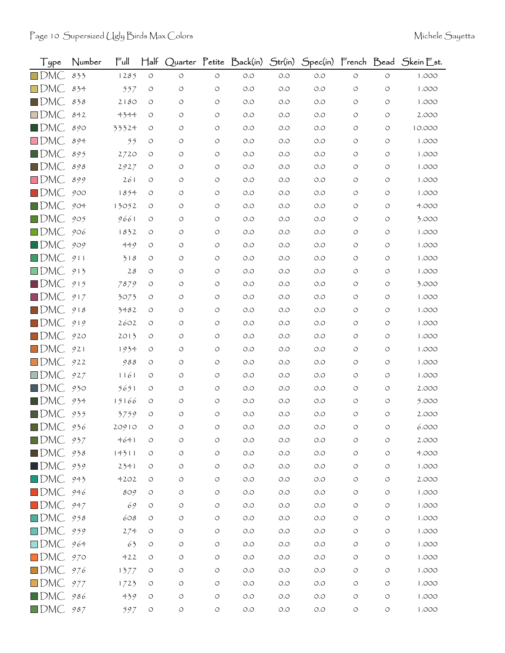| Type                   | Number | Ful   | $\mathsf{H\mathsf{a}\mathsf{lf}}$ |            |                    | Quarter Petite Back(in) | Str(in) |       |                    |            | Spec(in) French Bead Skein Est. |
|------------------------|--------|-------|-----------------------------------|------------|--------------------|-------------------------|---------|-------|--------------------|------------|---------------------------------|
| $\square$ DMC          | 833    | 1285  | $\circlearrowleft$                | $\circ$    | $\circ$            | $O.O$                   | O.O     | $O.O$ | $\circ$            | $\circ$    | 1.000                           |
| $\square$ DMC          | 834    | 557   | $\circ$                           | O          | $\circ$            | O.O                     | O.O     | $O.O$ | O                  | O          | 1.000                           |
| $\blacksquare$ DMC     | 838    | 2180  | O                                 | O          | $\circ$            | O.O                     | O.O     | O.O   | $\circ$            | O          | 1.000                           |
| $\square$ DMC          | 842    | 4344  | O                                 | O          | $\circ$            | $O.O$                   | O.O     | O.O   | O                  | O          | 2.000                           |
| $\square$ DMC          | 890    | 33324 | O                                 | O          | $\circ$            | O.O                     | O.O     | O.O   | O                  | O          | 10.000                          |
| $\square$ DMC          | 894    | 55    | O                                 | O          | $\circ$            | $O.O$                   | O.O     | O.O   | $\circ$            | O          | 1.000                           |
| $\blacksquare$ DMC     | 895    | 2720  | O                                 | O          | $\circ$            | O.O                     | O.O     | O.O   | O                  | O          | 1.000                           |
| $\blacksquare$ DMC     | 898    | 2927  | O                                 | O          | $\circ$            | O.O                     | O.O     | O.O   | O                  | O          | 1.000                           |
| $\square$ DMC          | 899    | 261   | O                                 | O          | $\circ$            | O.O                     | O.O     | O.O   | O                  | $\circ$    | 1.000                           |
| $\blacksquare$ DMC     | 900    | 1854  | O                                 | O          | $\circ$            | O.O                     | O.O     | O.O   | O                  | O          | 1.000                           |
| $\blacksquare$ DMC     | 904    | 13052 | $\circ$                           | O          | O                  | O.O                     | O.O     | O.O   | O                  | O          | 4.000                           |
| $\blacksquare$ DMC     | 905    | 9661  | O                                 | O          | $\circ$            | O.O                     | O.O     | O.O   | $\circ$            | $\circ$    | 3.000                           |
| $\square$ DMC          | 906    | 1832  | O                                 | O          | O                  | O.O                     | O.O     | O.O   | O                  | O          | 1.000                           |
| $\blacksquare$ DMC     | 909    | 449   | O                                 | O          | $\circ$            | O.O                     | O.O     | O.O   | O                  | O          | 1.000                           |
| $\square$ DMC          | 911    | 318   | O                                 | O          | $\circ$            | O.O                     | O.O     | O.O   | $\circ$            | $\circ$    | 1.000                           |
| $\square$ DMC          | 913    | 28    | O                                 | O          | $\circ$            | $O.O$                   | O.O     | O.O   | O                  | O          | 1.000                           |
| $\blacksquare$ DMC     | 915    | 7879  | O                                 | O          | $\circ$            | O.O                     | O.O     | O.O   | O                  | O          | 3.000                           |
| $\square$ DMC          | 917    | 3073  | O                                 | O          | $\circ$            | O.O                     | O.O     | O.O   | O                  | $\circ$    | 1.000                           |
| $\square$ DMC          | 918    | 3482  | O                                 | O          | $\circ$            | O.O                     | O.O     | O.O   | O                  | O          | 1.000                           |
| $\blacksquare$ DMC     | 919    | 2602  | O                                 | O          | $\circ$            | $O.O$                   | O.O     | O.O   | $\circ$            | O          | 1.000                           |
| $\square$ DMC          | 920    | 2013  | $\circ$                           | O          | $\circ$            | O.O                     | O.O     | O.O   | O                  | O          | 1.000                           |
| $\square$ DMC          | 921    | 1934  | O                                 | O          | $\circ$            | O.O                     | O.O     | O.O   | O                  | O          | 1.000                           |
| $\square$ DMC          | 922    | 988   | O                                 | O          | $\circ$            | O.O                     | O.O     | O.O   | $\circ$            | O          | 1.000                           |
| $\square$ DMC          | 927    | 1161  | O                                 | O          | O                  | O.O                     | O.O     | O.O   | O                  | O          | 1.000                           |
| $\blacksquare$ DMC     | 930    | 5651  | O                                 | O          | O                  | O.O                     | O.O     | O.O   | O                  | O          | 2.000                           |
| $\blacksquare$ DMC     | 934    | 15166 | O                                 | O          | $\circ$            | $O.O$                   | O.O     | O.O   | O                  | O          | 5.000                           |
| $\blacksquare$ DMC     | 935    | 3759  | O                                 | O          | $\circ$            | $O.O$                   | O.O     | O.O   | O                  | O          | 2.000                           |
| $\blacksquare$ DMC     | 936    | 20910 |                                   | O          | O                  | $O.O$                   | $O.O$   | O.O   | O                  | O          | 6.000                           |
| $\blacksquare$ DMC     | 937    | 4641  | O                                 | O          | $\circ$            | $O.O$                   | $O.O$   | $O.O$ | $\circ$            | $\circ$    | 2.000                           |
| $\blacksquare$ DMC     | 938    | 14311 | $\circ$                           | $\bigcirc$ | $\circlearrowleft$ | $O.O$                   | $O.O$   | $O.O$ | $\circ$            | $\circ$    | 4.000                           |
| $\blacksquare$ DMC     | 939    | 2341  | O                                 | O          | O                  | $O.O$                   | O.O     | $O.O$ | $\circ$            | $\circ$    | 1.000                           |
| $\square$ DMC          | 943    | 4202  | $\circ$                           | O          | $\circlearrowleft$ | $O.O$                   | O.O     | $O.O$ | $\circ$            | $\circ$    | 2.000                           |
| $\blacksquare$ DMC     | 946    | 809   | O                                 | O          | $\circ$            | $O.O$                   | $O.O$   | $O.O$ | $\circ$            | $\circ$    | 1.000                           |
| $\blacksquare$ DMC     | 947    | 69    | O                                 | O          | $\circ$            | $O.O$                   | $O.O$   | $O.O$ | $\circ$            | $\circ$    | 1.000                           |
| $\square$ DMC          | 958    | 608   | O                                 | O          | $\circ$            | $O.O$                   | $O.O$   | $O.O$ | $\circ$            | $\circ$    | 1.000                           |
| $\square$ DMC          | 959    | 274   | $\circ$                           | O          | $\circlearrowleft$ | $O.O$                   | O.O     | O.O   | $\circ$            | O          | 1.000                           |
| $\square$ DMC          | 964    | 63    | O                                 | O          | $\circ$            | $O.O$                   | $O.O$   | $O.O$ | $\circ$            | $\circ$    | 1.000                           |
| $\square$ DMC          | 970    | 422   | O                                 | O          | O                  | $O.O$                   | O.O     | $O.O$ | $\circ$            | $\circ$    | 1.000                           |
| $\Box$ DMC             | 976    | 1377  | O                                 | O          | $\circ$            | $O.O$                   | $O.O$   | $O.O$ | $\circ$            | $\circ$    | 1.000                           |
| $\square$ DMC          | 977    | 1723  | $\circ$                           | O          | $\circ$            | O.O                     | $O.O$   | $O.O$ | $\circ$            | $\circ$    | 1.000                           |
| $\blacksquare$ DMC 986 |        | 439   | O                                 | O          | O                  | $O.O$                   | $O.O$   | $O.O$ | O                  | $\bigcirc$ | 1.000                           |
| DMC 987                |        | 597   | $\circlearrowleft$                | O          | $\circlearrowleft$ | $O.O$                   | $O.O$   | $O.O$ | $\circlearrowleft$ | $\bigcirc$ | 1.000                           |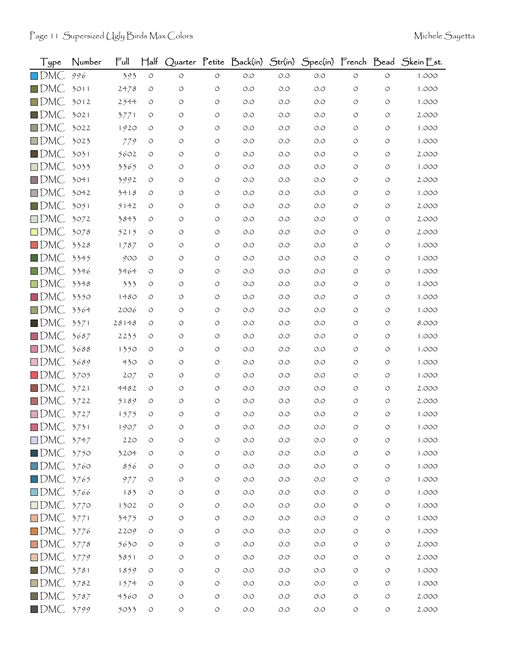| Type               | Number | Full  | $H$ alf    |         |                    | Quarter Petite Back(in) | Str(in) |       |            |                    | Spec(in) French Bead Skein Est. |
|--------------------|--------|-------|------------|---------|--------------------|-------------------------|---------|-------|------------|--------------------|---------------------------------|
| $\square$ DMC      | 996    | 393   | $\circ$    | $\circ$ | $\circ$            | $O.O$                   | $O.O$   | O.O   | $\circ$    | $\circ$            | 1.000                           |
| $\Box$ DMC         | 3011   | 2478  | O          | O       | $\circ$            | O.O                     | O.O     | O.O   | O          | O                  | 1.000                           |
| $\Box$ DMC         | 3012   | 2544  | O          | O       | O                  | O.O                     | O.O     | O.O   | O          | O                  | 1.000                           |
| $\blacksquare$ DMC | 3021   | 3771  | O          | O       | O                  | O.O                     | O.O     | O.O   | O          | O                  | 2.000                           |
| $\square$ DMC      | 3022   | 1920  | O          | O       | O                  | O.O                     | O.O     | O.O   | O          | O                  | 1.000                           |
| $\square$ DMC      | 3023   | 779   | O          | O       | $\circ$            | O.O                     | O.O     | O.O   | O          | O                  | 1.000                           |
| $\blacksquare$ DMC | 3031   | 5602  | O          | O       | $\circ$            | O.O                     | O.O     | 0.0   | O          | O                  | 2.000                           |
| $\square$ DMC      | 3033   | 3365  | O          | O       | $\circ$            | O.O                     | O.O     | O.O   | O          | O                  | 1.000                           |
| $\Box$ DMC         | 3041   | 3992  | O          | $\circ$ | $\circ$            | O.O                     | O.O     | O.O   | O          | O                  | 2.000                           |
| $\square$ DMC      | 3042   | 3418  | O          | O       | $\circ$            | O.O                     | O.O     | O.O   | O          | O                  | 1.000                           |
| $\square$ DMC      | 3051   | 5142  | O          | O       | O                  | O.O                     | O.O     | O.O   | O          | O                  | 2.000                           |
| $\square$ DMC      | 3072   | 3843  | O          | O       | $\circ$            | O.O                     | O.O     | O.O   | O          | O                  | 2.000                           |
| $\square$ DMC      | 3078   | 5215  | O          | O       | $\circ$            | O.O                     | O.O     | O.O   | O          | O                  | 2.000                           |
| $\square$ DMC      | 3328   | 1787  | O          | O       | $\circ$            | O.O                     | O.O     | O.O   | O          | O                  | 1.000                           |
| $\blacksquare$ DMC | 3345   | 900   | O          | O       | $\circ$            | O.O                     | O.O     | O.O   | O          | O                  | 1.000                           |
| $\square$ DMC      | 3346   | 3464  | O          | O       | $\circ$            | O.O                     | O.O     | O.O   | O          | O                  | 1.000                           |
| $\square$ DMC      | 3348   | 333   | O          | O       | $\circ$            | O.O                     | O.O     | O.O   | O          | O                  | 1.000                           |
| $\square$ DMC      | 3350   | 1480  | O          | O       | $\circ$            | O.O                     | O.O     | O.O   | O          | O                  | 1.000                           |
| $\square$ DMC      | 3364   | 2006  | O          | O       | $\circ$            | O.O                     | O.O     | O.O   | O          | O                  | 1.000                           |
| $\blacksquare$ DMC | 3371   | 28148 | O          | O       | $\circ$            | O.O                     | O.O     | O.O   | O          | O                  | 8.000                           |
| $\square$ DMC      | 3687   | 2235  | O          | O       | $\circ$            | O.O                     | O.O     | O.O   | O          | O                  | 1.000                           |
| $\square$ DMC      | 3688   | 1350  | O          | O       | O                  | O.O                     | O.O     | O.O   | O          | O                  | 1.000                           |
| $\square$ DMC      | 3689   | 430   | O          | O       | $\circ$            | O.O                     | O.O     | O.O   | O          | O                  | 1.000                           |
| $\square$ DMC      | 3705   | 207   | O          | O       | O                  | O.O                     | O.O     | O.O   | O          | O                  | 1.000                           |
| $\Box$ DMC         | 3721   | 4482  | O          | $\circ$ | O                  | O.O                     | O.O     | O.O   | O          | O                  | 2.000                           |
| $\square$ DMC      | 3722   | 5189  | O          | O       | $\circ$            | O.O                     | O.O     | O.O   | O          | O                  | 2.000                           |
| $\square$ DMC      | 3727   | 1575  | O          | O       | $\circ$            | O.O                     | O.O     | O.O   | O          | O                  | 1.000                           |
| $\blacksquare$ DMC | 3731   | 1907  | O          |         | O                  | O.O                     | O.O     | O.O   |            |                    | 1.000                           |
| $\square$ DMC      | 3747   | 220   | O          | O       | $\circlearrowleft$ | $O.O$                   | O.O     | O.O   | $\circ$    | O                  | 1.000                           |
| $\blacksquare$ DMC | 3750   | 3204  | O          | O       | $\circlearrowleft$ | $O.O$                   | $O.O$   | O.O   | $\circ$    | $\circ$            | 1.000                           |
| $\square$ DMC      | 3760   | 856   | O          | O       | $\circlearrowleft$ | $O.O$                   | $O.O$   | O.O   | O          | O                  | 1.000                           |
| $\square$ DMC      | 3765   | 977   | O          | O       | $\circlearrowleft$ | $O.O$                   | O.O     | O.O   | O          | O                  | 1.000                           |
| $\square$ DMC      | 3766   | 183   | O          | O       | $\circ$            | $O.O$                   | $O.O$   | O.O   | $\circ$    | $\circ$            | 1.000                           |
| $\square$ DMC      | 3770   | 1302  | O          | O       | $\circ$            | $O.O$                   | $O.O$   | $O.O$ | O          | O                  | 1.000                           |
| $\square$ DMC      | 3771   | 3475  | O          | O       | $\circ$            | $O.O$                   | $O.O$   | O.O   | $\circ$    | O                  | 1.000                           |
| $\square$ DMC      | 3776   | 2209  | $\bigcirc$ | O       | $\circlearrowleft$ | $O.O$                   | $O.O$   | O.O   | $\circ$    | O                  | 1.000                           |
| $\square$ DMC      | 3778   | 5630  | $\circ$    | O       | $\circlearrowleft$ | O.O                     | $O.O$   | O.O   | O          | O                  | 2.000                           |
| $\square$ DMC      | 3779   | 3851  | O          | O       | $\circ$            | $O.O$                   | O.O     | O.O   | O          | O                  | 2.000                           |
| $\blacksquare$ DMC | 3781   | 1859  | O          | O       | $\circlearrowleft$ | $O.O$                   | $O.O$   | O.O   | $\circ$    | $\circ$            | 1.000                           |
| $\square$ DMC      | 3782   | 1574  | O          | O       | $\circ$            | $O.O$                   | $O.O$   | $O.O$ | $\circ$    | O                  | 1.000                           |
| $\blacksquare$ DMC | 3787   | 4360  | O          | O       | $\circlearrowleft$ | $O.O$                   | $O.O$   | O.O   | O          | $\circlearrowleft$ | 2.000                           |
| $\blacksquare$ DMC | 3799   | 5033  | O          | O       | $\circlearrowleft$ | $O.O$                   | $O.O$   | $O.O$ | $\bigcirc$ | $\circlearrowleft$ | 2.000                           |